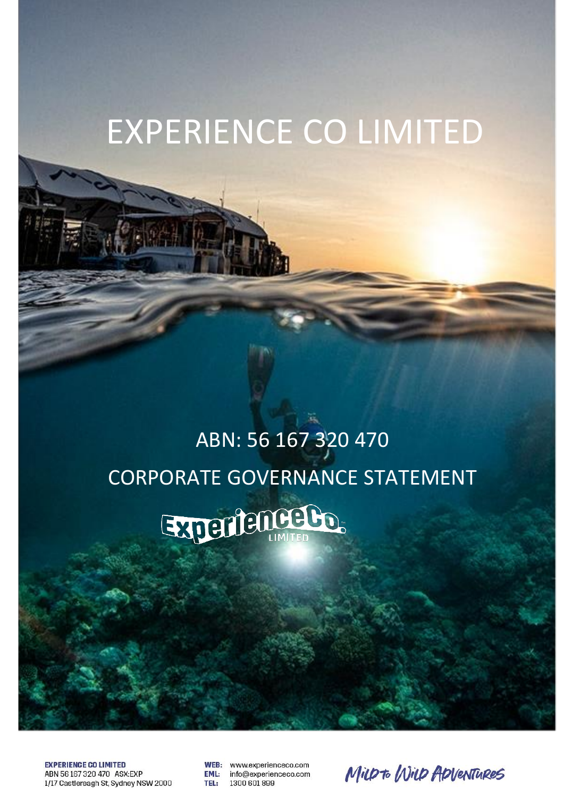# EXPERIENCE CO LIMITED

# ABN: 56 167 320 470 CORPORATE GOVERNANCE STATEMENTExperience Bo.

**EXPERIENCE CO LIMITED** ABN 56167320470 ASX:EXP 1/17 Castlereagh St, Sydney NSW 2000

WEB: www.experienceco.com **EML:** info@experienceco.com 1300 601 899 TEL:

MILD to WILD ADVENTURES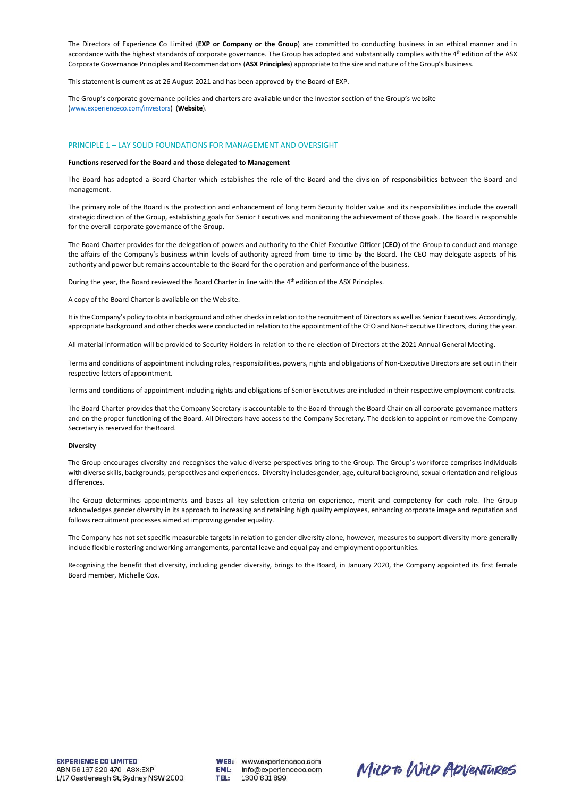The Directors of Experience Co Limited (**EXP or Company or the Group**) are committed to conducting business in an ethical manner and in accordance with the highest standards of corporate governance. The Group has adopted and substantially complies with the 4<sup>th</sup> edition of the ASX Corporate Governance Principles and Recommendations(**ASX Principles**) appropriate to the size and nature of the Group's business.

This statement is current as at 26 August 2021 and has been approved by the Board of EXP.

The Group's corporate governance policies and charters are available under the Investor section of the Group's website [\(www.experienceco.com/investors\)](http://www.experienceco.com/investors) (**Website**).

## PRINCIPLE 1 – LAY SOLID FOUNDATIONS FOR MANAGEMENT AND OVERSIGHT

## **Functions reserved for the Board and those delegated to Management**

The Board has adopted a Board Charter which establishes the role of the Board and the division of responsibilities between the Board and management.

The primary role of the Board is the protection and enhancement of long term Security Holder value and its responsibilities include the overall strategic direction of the Group, establishing goals for Senior Executives and monitoring the achievement of those goals. The Board is responsible for the overall corporate governance of the Group.

The Board Charter provides for the delegation of powers and authority to the Chief Executive Officer (**CEO)** of the Group to conduct and manage the affairs of the Company's business within levels of authority agreed from time to time by the Board. The CEO may delegate aspects of his authority and power but remains accountable to the Board for the operation and performance of the business.

During the year, the Board reviewed the Board Charter in line with the 4<sup>th</sup> edition of the ASX Principles.

A copy of the Board Charter is available on the Website.

It is the Company's policy to obtain background and other checks in relation to the recruitment of Directors as well as Senior Executives. Accordingly, appropriate background and other checks were conducted in relation to the appointment of the CEO and Non-Executive Directors, during the year.

All material information will be provided to Security Holders in relation to the re-election of Directors at the 2021 Annual General Meeting.

Terms and conditions of appointment including roles, responsibilities, powers, rights and obligations of Non-Executive Directors are set out in their respective letters ofappointment.

Terms and conditions of appointment including rights and obligations of Senior Executives are included in their respective employment contracts.

The Board Charter provides that the Company Secretary is accountable to the Board through the Board Chair on all corporate governance matters and on the proper functioning of the Board. All Directors have access to the Company Secretary. The decision to appoint or remove the Company Secretary is reserved for the Board.

#### **Diversity**

The Group encourages diversity and recognises the value diverse perspectives bring to the Group. The Group's workforce comprises individuals with diverse skills, backgrounds, perspectives and experiences. Diversity includes gender, age, cultural background,sexual orientation and religious differences.

The Group determines appointments and bases all key selection criteria on experience, merit and competency for each role. The Group acknowledges gender diversity in its approach to increasing and retaining high quality employees, enhancing corporate image and reputation and follows recruitment processes aimed at improving gender equality.

The Company has not set specific measurable targets in relation to gender diversity alone, however, measures to support diversity more generally include flexible rostering and working arrangements, parental leave and equal pay and employment opportunities.

Recognising the benefit that diversity, including gender diversity, brings to the Board, in January 2020, the Company appointed its first female Board member, Michelle Cox.

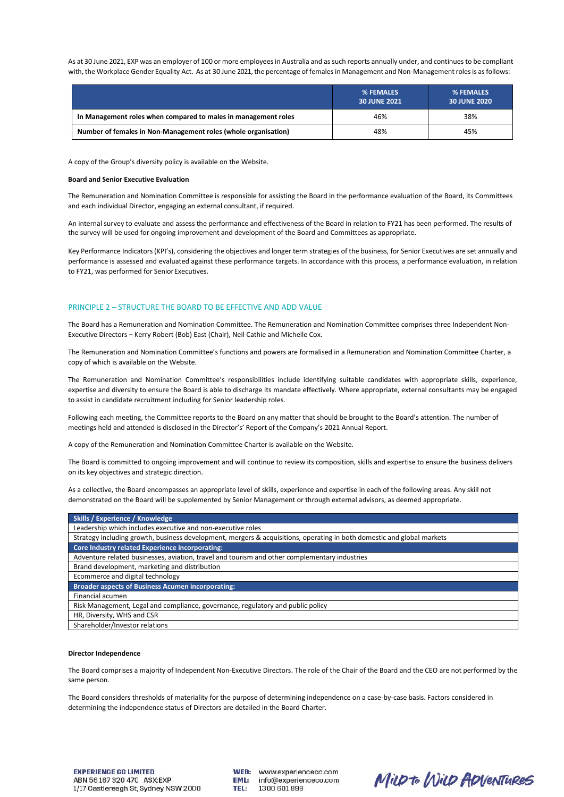As at 30 June 2021, EXP was an employer of 100 or more employees in Australia and as such reports annually under, and continues to be compliant with, the Workplace Gender Equality Act. As at 30 June 2021, the percentage of females in Management and Non-Management roles is as follows:

|                                                                | % FEMALES<br><b>30 JUNE 2021</b> | <b>% FEMALES</b><br><b>30 JUNE 2020</b> |
|----------------------------------------------------------------|----------------------------------|-----------------------------------------|
| In Management roles when compared to males in management roles | 46%                              | 38%                                     |
| Number of females in Non-Management roles (whole organisation) | 48%                              | 45%                                     |

A copy of the Group's diversity policy is available on the [Website.](http://www.experienceco.com/)

#### **Board and Senior Executive Evaluation**

The Remuneration and Nomination Committee is responsible for assisting the Board in the performance evaluation of the Board, its Committees and each individual Director, engaging an external consultant, if required.

An internal survey to evaluate and assess the performance and effectiveness of the Board in relation to FY21 has been performed. The results of the survey will be used for ongoing improvement and development of the Board and Committees as appropriate.

Key Performance Indicators(KPI's), considering the objectives and longer term strategies of the business, for Senior Executives are set annually and performance is assessed and evaluated against these performance targets. In accordance with this process, a performance evaluation, in relation to FY21, was performed for Senior Executives.

# PRINCIPLE 2 – STRUCTURE THE BOARD TO BE EFFECTIVE AND ADD VALUE

The Board has a Remuneration and Nomination Committee. The Remuneration and Nomination Committee comprises three Independent Non-Executive Directors – Kerry Robert (Bob) East (Chair), Neil Cathie and Michelle Cox.

The Remuneration and Nomination Committee's functions and powers are formalised in a Remuneration and Nomination Committee Charter, a copy of which is available on the Website.

The Remuneration and Nomination Committee's responsibilities include identifying suitable candidates with appropriate skills, experience, expertise and diversity to ensure the Board is able to discharge its mandate effectively. Where appropriate, external consultants may be engaged to assist in candidate recruitment including for Senior leadership roles.

Following each meeting, the Committee reports to the Board on any matter that should be brought to the Board's attention. The number of meetings held and attended is disclosed in the Director's' Report of the Company's 2021 Annual Report.

A copy of the Remuneration and Nomination Committee Charter is available on the Website.

The Board is committed to ongoing improvement and will continue to review its composition, skills and expertise to ensure the business delivers on its key objectives and strategic direction.

As a collective, the Board encompasses an appropriate level of skills, experience and expertise in each of the following areas. Any skill not demonstrated on the Board will be supplemented by Senior Management or through external advisors, as deemed appropriate.

| Skills / Experience / Knowledge                                                                                        |
|------------------------------------------------------------------------------------------------------------------------|
| Leadership which includes executive and non-executive roles                                                            |
| Strategy including growth, business development, mergers & acquisitions, operating in both domestic and global markets |
| Core Industry related Experience incorporating:                                                                        |
| Adventure related businesses, aviation, travel and tourism and other complementary industries                          |
| Brand development, marketing and distribution                                                                          |
| Ecommerce and digital technology                                                                                       |
| <b>Broader aspects of Business Acumen incorporating:</b>                                                               |
| Financial acumen                                                                                                       |
| Risk Management, Legal and compliance, governance, regulatory and public policy                                        |
| HR, Diversity, WHS and CSR                                                                                             |
| Shareholder/Investor relations                                                                                         |

#### **Director Independence**

The Board comprises a majority of Independent Non-Executive Directors. The role of the Chair of the Board and the CEO are not performed by the same person.

The Board considers thresholds of materiality for the purpose of determining independence on a case-by-case basis. Factors considered in determining the independence status of Directors are detailed in the Board Charter.



MILD to WILD ADVENTURES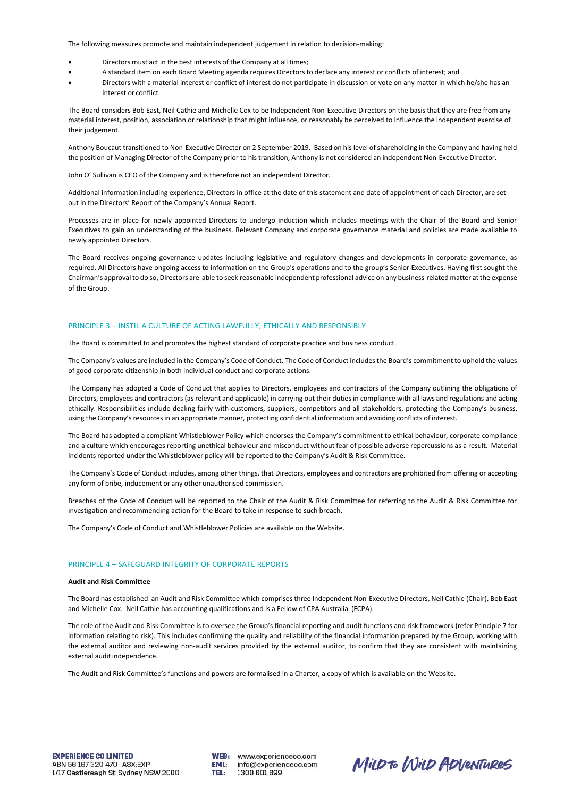The following measures promote and maintain independent judgement in relation to decision-making:

- Directors must act in the best interests of the Company at all times;
- A standard item on each Board Meeting agenda requires Directors to declare any interest or conflicts of interest; and
- Directors with a material interest or conflict of interest do not participate in discussion or vote on any matter in which he/she has an interest or conflict.

The Board considers Bob East, Neil Cathie and Michelle Cox to be Independent Non-Executive Directors on the basis that they are free from any material interest, position, association or relationship that might influence, or reasonably be perceived to influence the independent exercise of their judgement.

Anthony Boucaut transitioned to Non-Executive Director on 2 September 2019. Based on his level ofshareholding in the Company and having held the position of Managing Director of the Company prior to his transition, Anthony is not considered an independent Non-Executive Director.

John O' Sullivan is CEO of the Company and is therefore not an independent Director.

Additional information including experience, Directors in office at the date of this statement and date of appointment of each Director, are set out in the Directors' Report of the Company's Annual Report.

Processes are in place for newly appointed Directors to undergo induction which includes meetings with the Chair of the Board and Senior Executives to gain an understanding of the business. Relevant Company and corporate governance material and policies are made available to newly appointed Directors.

The Board receives ongoing governance updates including legislative and regulatory changes and developments in corporate governance, as required. All Directors have ongoing access to information on the Group's operations and to the group's Senior Executives. Having first sought the Chairman's approval to do so, Directors are able to seek reasonable independent professional advice on any business-related matter at the expense of the Group.

# PRINCIPLE 3 – INSTIL A CULTURE OF ACTING LAWFULLY, ETHICALLY AND RESPONSIBLY

The Board is committed to and promotes the highest standard of corporate practice and business conduct.

The Company's values are included in the Company's Code of Conduct. The Code of Conduct includes the Board's commitment to uphold the values of good corporate citizenship in both individual conduct and corporate actions.

The Company has adopted a Code of Conduct that applies to Directors, employees and contractors of the Company outlining the obligations of Directors, employees and contractors (as relevant and applicable) in carrying out their duties in compliance with all laws and regulations and acting ethically. Responsibilities include dealing fairly with customers, suppliers, competitors and all stakeholders, protecting the Company's business, using the Company's resources in an appropriate manner, protecting confidential information and avoiding conflicts of interest.

The Board has adopted a compliant Whistleblower Policy which endorses the Company's commitment to ethical behaviour, corporate compliance and a culture which encourages reporting unethical behaviour and misconduct without fear of possible adverse repercussions as a result. Material incidents reported under the Whistleblower policy will be reported to the Company's Audit & Risk Committee.

The Company's Code of Conduct includes, among other things, that Directors, employees and contractors are prohibited from offering or accepting any form of bribe, inducement or any other unauthorised commission.

Breaches of the Code of Conduct will be reported to the Chair of the Audit & Risk Committee for referring to the Audit & Risk Committee for investigation and recommending action for the Board to take in response to such breach.

The Company's Code of Conduct and Whistleblower Policies are available on the Website.

# PRINCIPLE 4 – SAFEGUARD INTEGRITY OF CORPORATE REPORTS

## **Audit and Risk Committee**

The Board has established an Audit and Risk Committee which comprisesthree Independent Non-Executive Directors, Neil Cathie (Chair), Bob East and Michelle Cox. Neil Cathie has accounting qualifications and is a Fellow of CPA Australia (FCPA).

The role of the Audit and Risk Committee is to oversee the Group's financial reporting and audit functions and risk framework (refer Principle 7 for information relating to risk). This includes confirming the quality and reliability of the financial information prepared by the Group, working with the external auditor and reviewing non-audit services provided by the external auditor, to confirm that they are consistent with maintaining external audit independence.

The Audit and Risk Committee's functions and powers are formalised in a Charter, a copy of which is available on the Website.

WEB: www.experienceco.com **EML:** info@experienceco.com TEL: 1300 601 899

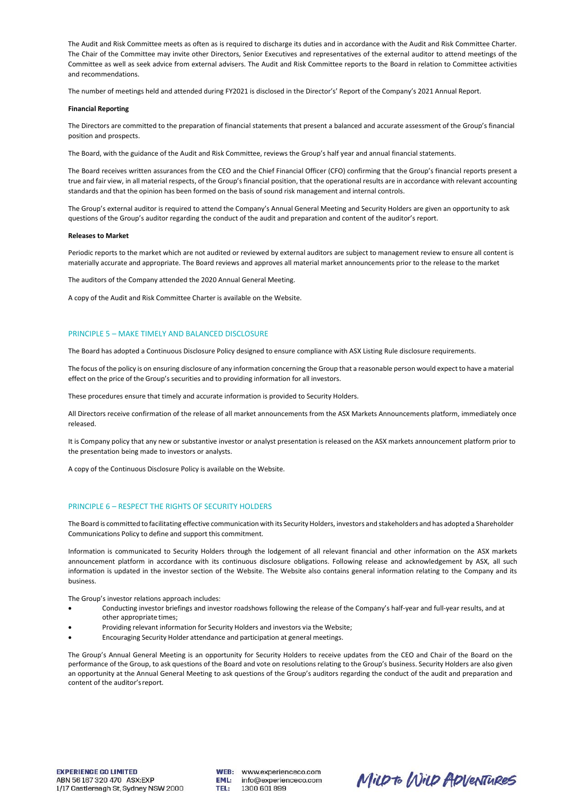The Audit and Risk Committee meets as often as is required to discharge its duties and in accordance with the Audit and Risk Committee Charter. The Chair of the Committee may invite other Directors, Senior Executives and representatives of the external auditor to attend meetings of the Committee as well as seek advice from external advisers. The Audit and Risk Committee reports to the Board in relation to Committee activities and recommendations.

The number of meetings held and attended during FY2021 is disclosed in the Director's' Report of the Company's 2021 Annual Report.

## **Financial Reporting**

The Directors are committed to the preparation of financial statements that present a balanced and accurate assessment of the Group's financial position and prospects.

The Board, with the guidance of the Audit and Risk Committee, reviews the Group's half year and annual financial statements.

The Board receives written assurances from the CEO and the Chief Financial Officer (CFO) confirming that the Group's financial reports present a true and fair view, in all material respects, of the Group's financial position, that the operational results are in accordance with relevant accounting standards and that the opinion has been formed on the basis of sound risk management and internal controls.

The Group's external auditor is required to attend the Company's Annual General Meeting and Security Holders are given an opportunity to ask questions of the Group's auditor regarding the conduct of the audit and preparation and content of the auditor's report.

#### **Releases to Market**

Periodic reports to the market which are not audited or reviewed by external auditors are subject to management review to ensure all content is materially accurate and appropriate. The Board reviews and approves all material market announcements prior to the release to the market

The auditors of the Company attended the 2020 Annual General Meeting.

A copy of the Audit and Risk Committee Charter is available on the Website.

## PRINCIPLE 5 – MAKE TIMELY AND BALANCED DISCLOSURE

The Board has adopted a Continuous Disclosure Policy designed to ensure compliance with ASX Listing Rule disclosure requirements.

The focus of the policy is on ensuring disclosure of any information concerning the Group that a reasonable person would expect to have a material effect on the price of the Group's securities and to providing information for all investors.

These procedures ensure that timely and accurate information is provided to Security Holders.

All Directors receive confirmation of the release of all market announcements from the ASX Markets Announcements platform, immediately once released.

It is Company policy that any new or substantive investor or analyst presentation is released on the ASX markets announcement platform prior to the presentation being made to investors or analysts.

A copy of the Continuous Disclosure Policy is available on the Website.

# PRINCIPLE 6 – RESPECT THE RIGHTS OF SECURITY HOLDERS

The Board is committed to facilitating effective communication with its Security Holders, investors and stakeholders and has adopted a Shareholder Communications Policy to define and support this commitment.

Information is communicated to Security Holders through the lodgement of all relevant financial and other information on the ASX markets announcement platform in accordance with its continuous disclosure obligations. Following release and acknowledgement by ASX, all such information is updated in the investor section of the Website. The Website also contains general information relating to the Company and its business.

The Group's investor relations approach includes:

- Conducting investor briefings and investor roadshows following the release of the Company's half-year and full-year results, and at other appropriate times;
- Providing relevant information for Security Holders and investors via the Website;
- Encouraging Security Holder attendance and participation at general meetings.

The Group's Annual General Meeting is an opportunity for Security Holders to receive updates from the CEO and Chair of the Board on the performance of the Group, to ask questions of the Board and vote on resolutions relating to the Group's business. Security Holders are also given an opportunity at the Annual General Meeting to ask questions of the Group's auditors regarding the conduct of the audit and preparation and content of the auditor'sreport.

WEB: www.experienceco.com EML: info@experienceco.com **TEL:** 1300 601 899

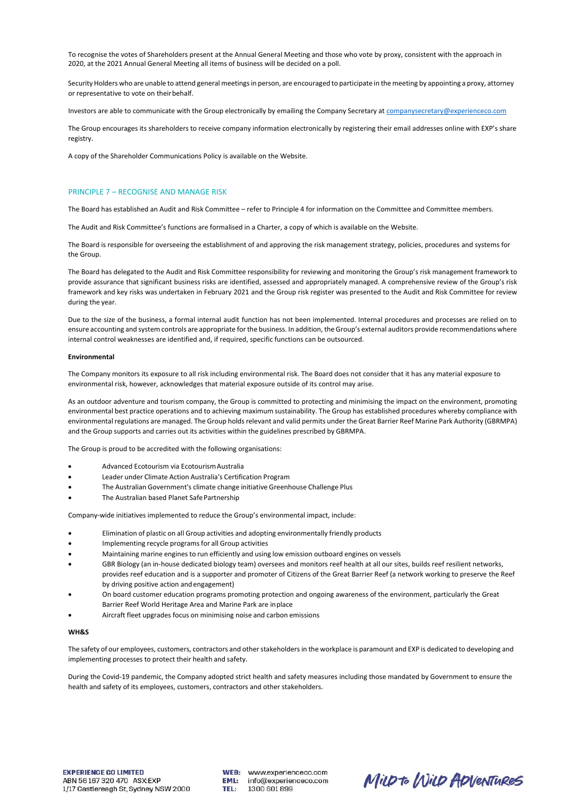To recognise the votes of Shareholders present at the Annual General Meeting and those who vote by proxy, consistent with the approach in 2020, at the 2021 Annual General Meeting all items of business will be decided on a poll.

Security Holders who are unable to attend general meetings in person, are encouraged to participate in the meeting by appointing a proxy, attorney or representative to vote on their behalf.

Investors are able to communicate with the Group electronically by emailing the Company Secretary a[t companysecretary@experienceco.com](mailto:companysecretary@experienceco.com)

The Group encourages its shareholders to receive company information electronically by registering their email addresses online with EXP's share registry.

A copy of the Shareholder Communications Policy is available on the Website.

# PRINCIPLE 7 – RECOGNISE AND MANAGE RISK

The Board has established an Audit and Risk Committee – refer to Principle 4 for information on the Committee and Committee members.

The Audit and Risk Committee's functions are formalised in a Charter, a copy of which is available on the Website.

The Board is responsible for overseeing the establishment of and approving the risk management strategy, policies, procedures and systems for the Group.

The Board has delegated to the Audit and Risk Committee responsibility for reviewing and monitoring the Group's risk management framework to provide assurance that significant business risks are identified, assessed and appropriately managed. A comprehensive review of the Group's risk framework and key risks was undertaken in February 2021 and the Group risk register was presented to the Audit and Risk Committee for review during the year.

Due to the size of the business, a formal internal audit function has not been implemented. Internal procedures and processes are relied on to ensure accounting and system controls are appropriate for the business. In addition, the Group's external auditors provide recommendations where internal control weaknesses are identified and, if required, specific functions can be outsourced.

#### **Environmental**

The Company monitors its exposure to all risk including environmental risk. The Board does not consider that it has any material exposure to environmental risk, however, acknowledges that material exposure outside of its control may arise.

As an outdoor adventure and tourism company, the Group is committed to protecting and minimising the impact on the environment, promoting environmental best practice operations and to achieving maximum sustainability. The Group has established procedures whereby compliance with environmental regulations are managed. The Group holds relevant and valid permits under the Great Barrier Reef Marine Park Authority (GBRMPA) and the Group supports and carries out its activities within the guidelines prescribed by GBRMPA.

The Group is proud to be accredited with the following organisations:

- Advanced Ecotourism via EcotourismAustralia
- Leader under Climate Action Australia's Certification Program
- The Australian Government's climate change initiative Greenhouse Challenge Plus
- The Australian based Planet Safe Partnership

Company-wide initiatives implemented to reduce the Group's environmental impact, include:

- Elimination of plastic on all Group activities and adopting environmentally friendly products
- Implementing recycle programs for all Group activities
- Maintaining marine engines to run efficiently and using low emission outboard engines on vessels
- GBR Biology (an in-house dedicated biology team) oversees and monitors reef health at all our sites, builds reef resilient networks, provides reef education and is a supporter and promoter of Citizens of the Great Barrier Reef (a network working to preserve the Reef by driving positive action andengagement)
- On board customer education programs promoting protection and ongoing awareness of the environment, particularly the Great Barrier Reef World Heritage Area and Marine Park are inplace
- Aircraft fleet upgrades focus on minimising noise and carbon emissions

## **WH&S**

The safety of our employees, customers, contractors and otherstakeholders in the workplace is paramount and EXP is dedicated to developing and implementing processes to protect their health and safety.

During the Covid-19 pandemic, the Company adopted strict health and safety measures including those mandated by Government to ensure the health and safety of its employees, customers, contractors and other stakeholders.

WEB: www.experienceco.com info@experienceco.com EML: TEL: 1300 601 899